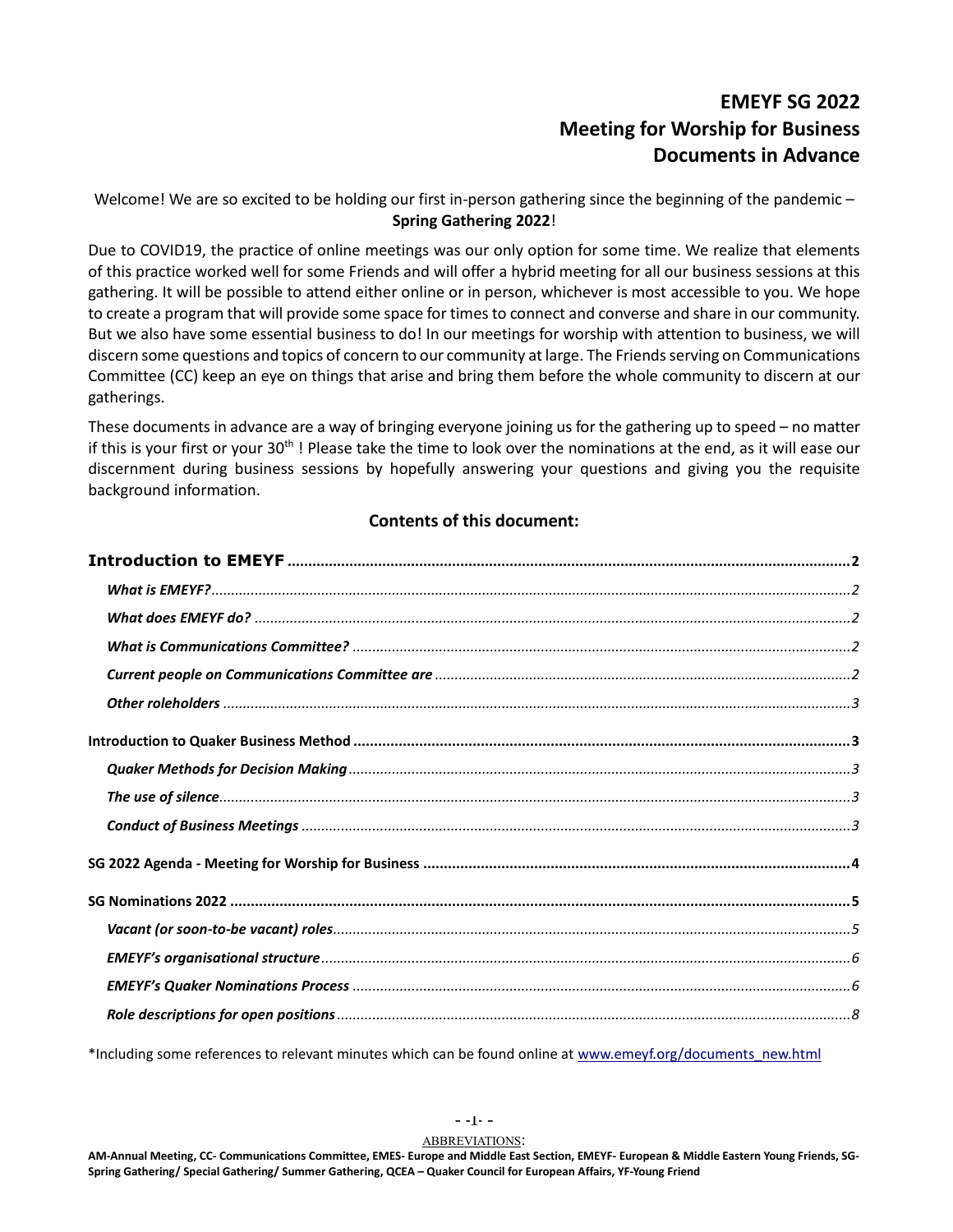## **EMEYF SG 2022 Meeting for Worship for Business Documents in Advance**

Welcome! We are so excited to be holding our first in-person gathering since the beginning of the pandemic – **Spring Gathering 2022**!

Due to COVID19, the practice of online meetings was our only option for some time. We realize that elements of this practice worked well for some Friends and will offer a hybrid meeting for all our business sessions at this gathering. It will be possible to attend either online or in person, whichever is most accessible to you. We hope to create a program that will provide some space for times to connect and converse and share in our community. But we also have some essential business to do! In our meetings for worship with attention to business, we will discern some questions and topics of concern to our community at large. The Friends serving on Communications Committee (CC) keep an eye on things that arise and bring them before the whole community to discern at our gatherings.

These documents in advance are a way of bringing everyone joining us for the gathering up to speed – no matter if this is your first or your 30<sup>th</sup>! Please take the time to look over the nominations at the end, as it will ease our discernment during business sessions by hopefully answering your questions and giving you the requisite background information.

## **Contents of this document:**

\*Including some references to relevant minutes which can be found online at [www.emeyf.org/documents\\_new.html](http://www.emeyf.org/documents_new.html)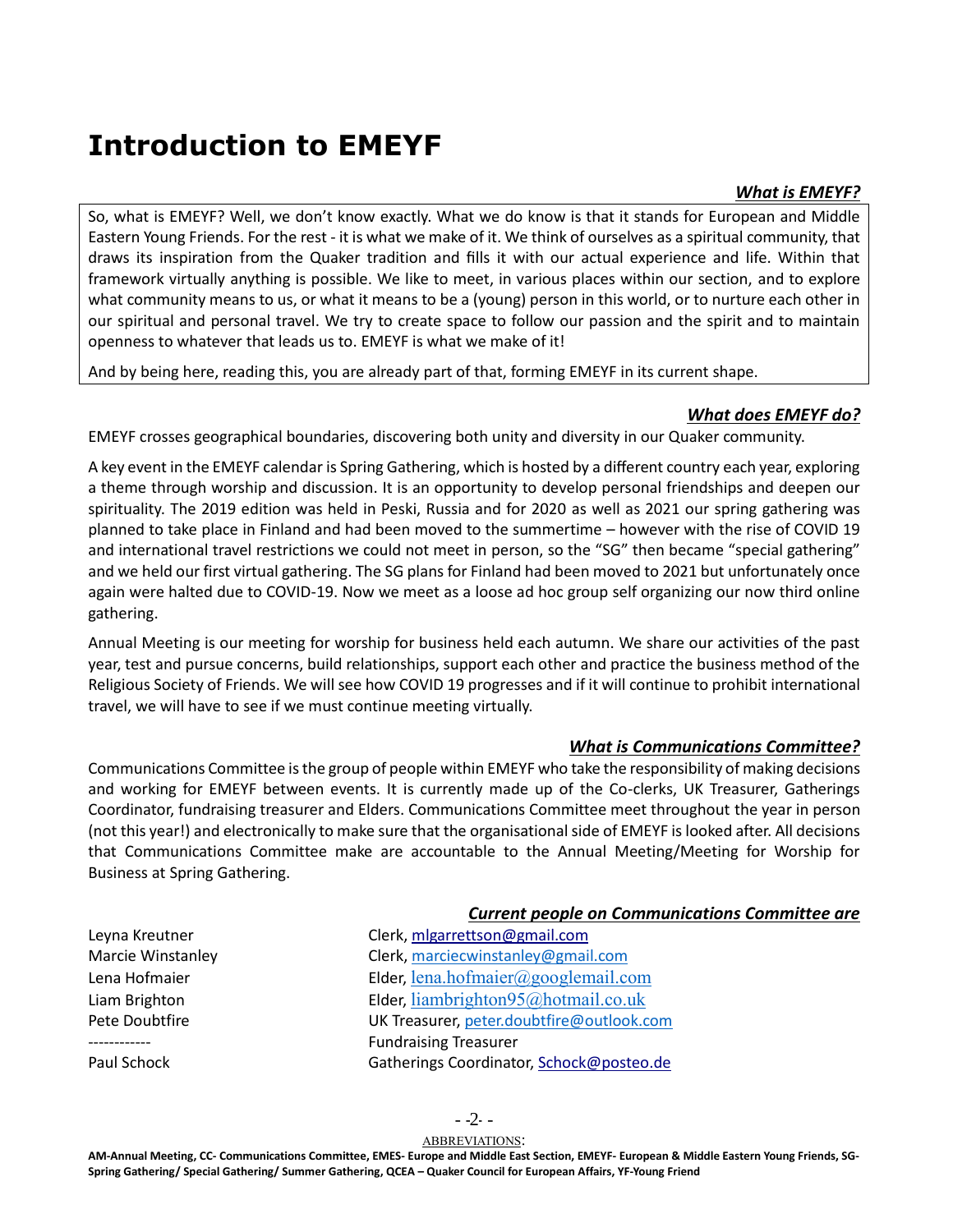# <span id="page-1-0"></span>**Introduction to EMEYF**

## *What is EMEYF?*

<span id="page-1-1"></span>So, what is EMEYF? Well, we don't know exactly. What we do know is that it stands for European and Middle Eastern Young Friends. For the rest - it is what we make of it. We think of ourselves as a spiritual community, that draws its inspiration from the Quaker tradition and fills it with our actual experience and life. Within that framework virtually anything is possible. We like to meet, in various places within our section, and to explore what community means to us, or what it means to be a (young) person in this world, or to nurture each other in our spiritual and personal travel. We try to create space to follow our passion and the spirit and to maintain openness to whatever that leads us to. EMEYF is what we make of it!

<span id="page-1-2"></span>And by being here, reading this, you are already part of that, forming EMEYF in its current shape.

## *What does EMEYF do?*

EMEYF crosses geographical boundaries, discovering both unity and diversity in our Quaker community.

A key event in the EMEYF calendar is Spring Gathering, which is hosted by a different country each year, exploring a theme through worship and discussion. It is an opportunity to develop personal friendships and deepen our spirituality. The 2019 edition was held in Peski, Russia and for 2020 as well as 2021 our spring gathering was planned to take place in Finland and had been moved to the summertime – however with the rise of COVID 19 and international travel restrictions we could not meet in person, so the "SG" then became "special gathering" and we held our first virtual gathering. The SG plans for Finland had been moved to 2021 but unfortunately once again were halted due to COVID-19. Now we meet as a loose ad hoc group self organizing our now third online gathering.

Annual Meeting is our meeting for worship for business held each autumn. We share our activities of the past year, test and pursue concerns, build relationships, support each other and practice the business method of the Religious Society of Friends. We will see how COVID 19 progresses and if it will continue to prohibit international travel, we will have to see if we must continue meeting virtually.

## *What is Communications Committee?*

<span id="page-1-3"></span>Communications Committee is the group of people within EMEYF who take the responsibility of making decisions and working for EMEYF between events. It is currently made up of the Co-clerks, UK Treasurer, Gatherings Coordinator, fundraising treasurer and Elders. Communications Committee meet throughout the year in person (not this year!) and electronically to make sure that the organisational side of EMEYF is looked after. All decisions that Communications Committee make are accountable to the Annual Meeting/Meeting for Worship for Business at Spring Gathering.

## *Current people on Communications Committee are*

<span id="page-1-4"></span>

| Clerk, migarrettson@gmail.com             |  |
|-------------------------------------------|--|
| Clerk, marciecwinstanley@gmail.com        |  |
| Elder, lena.hofmaier@googlemail.com       |  |
| Elder, liambrighton $95@$ hotmail.co.uk   |  |
| UK Treasurer, peter.doubtfire@outlook.com |  |
| <b>Fundraising Treasurer</b>              |  |
| Gatherings Coordinator, Schock@posteo.de  |  |
|                                           |  |

 $-2-$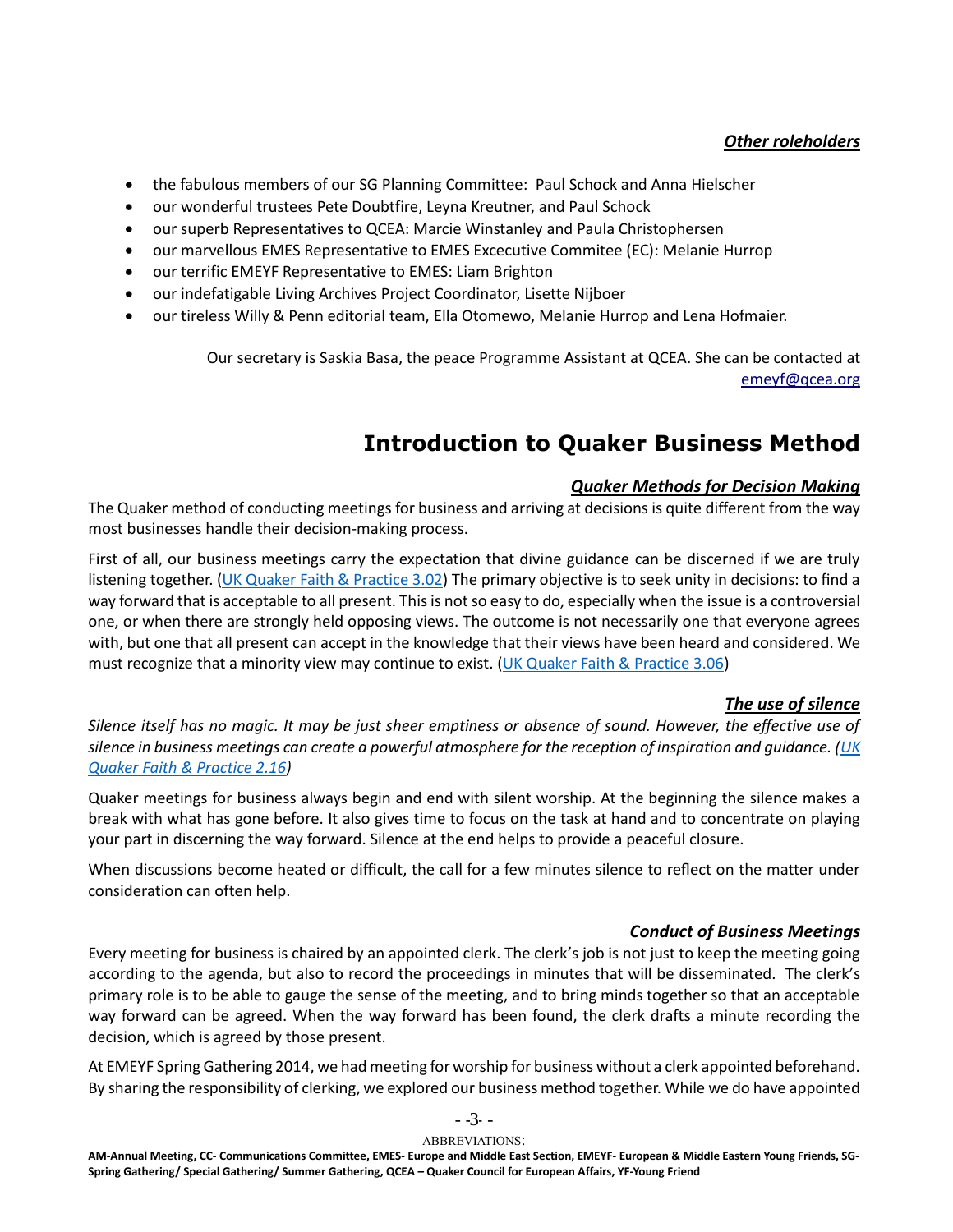## *Other roleholders*

- <span id="page-2-0"></span>• the fabulous members of our SG Planning Committee: Paul Schock and Anna Hielscher
- our wonderful trustees Pete Doubtfire, Leyna Kreutner, and Paul Schock
- our superb Representatives to QCEA: Marcie Winstanley and Paula Christophersen
- our marvellous EMES Representative to EMES Excecutive Commitee (EC): Melanie Hurrop
- our terrific EMEYF Representative to EMES: Liam Brighton
- our indefatigable Living Archives Project Coordinator, Lisette Nijboer
- our tireless Willy & Penn editorial team, Ella Otomewo, Melanie Hurrop and Lena Hofmaier.

Our secretary is Saskia Basa, the peace Programme Assistant at QCEA. She can be contacted at [emeyf@qcea.org](mailto:emeyf@qcea.org)

## **Introduction to Quaker Business Method**

## *Quaker Methods for Decision Making*

<span id="page-2-2"></span><span id="page-2-1"></span>The Quaker method of conducting meetings for business and arriving at decisions is quite different from the way most businesses handle their decision-making process.

First of all, our business meetings carry the expectation that divine guidance can be discerned if we are truly listening together. [\(UK Quaker Faith & Practice 3.02\)](https://qfp.quaker.org.uk/passage/3-02/) The primary objective is to seek unity in decisions: to find a way forward that is acceptable to all present. This is not so easy to do, especially when the issue is a controversial one, or when there are strongly held opposing views. The outcome is not necessarily one that everyone agrees with, but one that all present can accept in the knowledge that their views have been heard and considered. We must recognize that a minority view may continue to exist. [\(UK Quaker Faith & Practice 3.06\)](https://qfp.quaker.org.uk/passage/3-06/)

### *The use of silence*

<span id="page-2-3"></span>*Silence itself has no magic. It may be just sheer emptiness or absence of sound. However, the effective use of silence in business meetings can create a powerful atmosphere for the reception of inspiration and guidance. [\(UK](https://qfp.quaker.org.uk/chapter/2/)  [Quaker Faith & Practice 2.16\)](https://qfp.quaker.org.uk/chapter/2/)*

Quaker meetings for business always begin and end with silent worship. At the beginning the silence makes a break with what has gone before. It also gives time to focus on the task at hand and to concentrate on playing your part in discerning the way forward. Silence at the end helps to provide a peaceful closure.

When discussions become heated or difficult, the call for a few minutes silence to reflect on the matter under consideration can often help.

### *Conduct of Business Meetings*

<span id="page-2-4"></span>Every meeting for business is chaired by an appointed clerk. The clerk's job is not just to keep the meeting going according to the agenda, but also to record the proceedings in minutes that will be disseminated. The clerk's primary role is to be able to gauge the sense of the meeting, and to bring minds together so that an acceptable way forward can be agreed. When the way forward has been found, the clerk drafts a minute recording the decision, which is agreed by those present.

At EMEYF Spring Gathering 2014, we had meeting for worship for business without a clerk appointed beforehand. By sharing the responsibility of clerking, we explored our business method together. While we do have appointed

#### ABBREVIATIONS: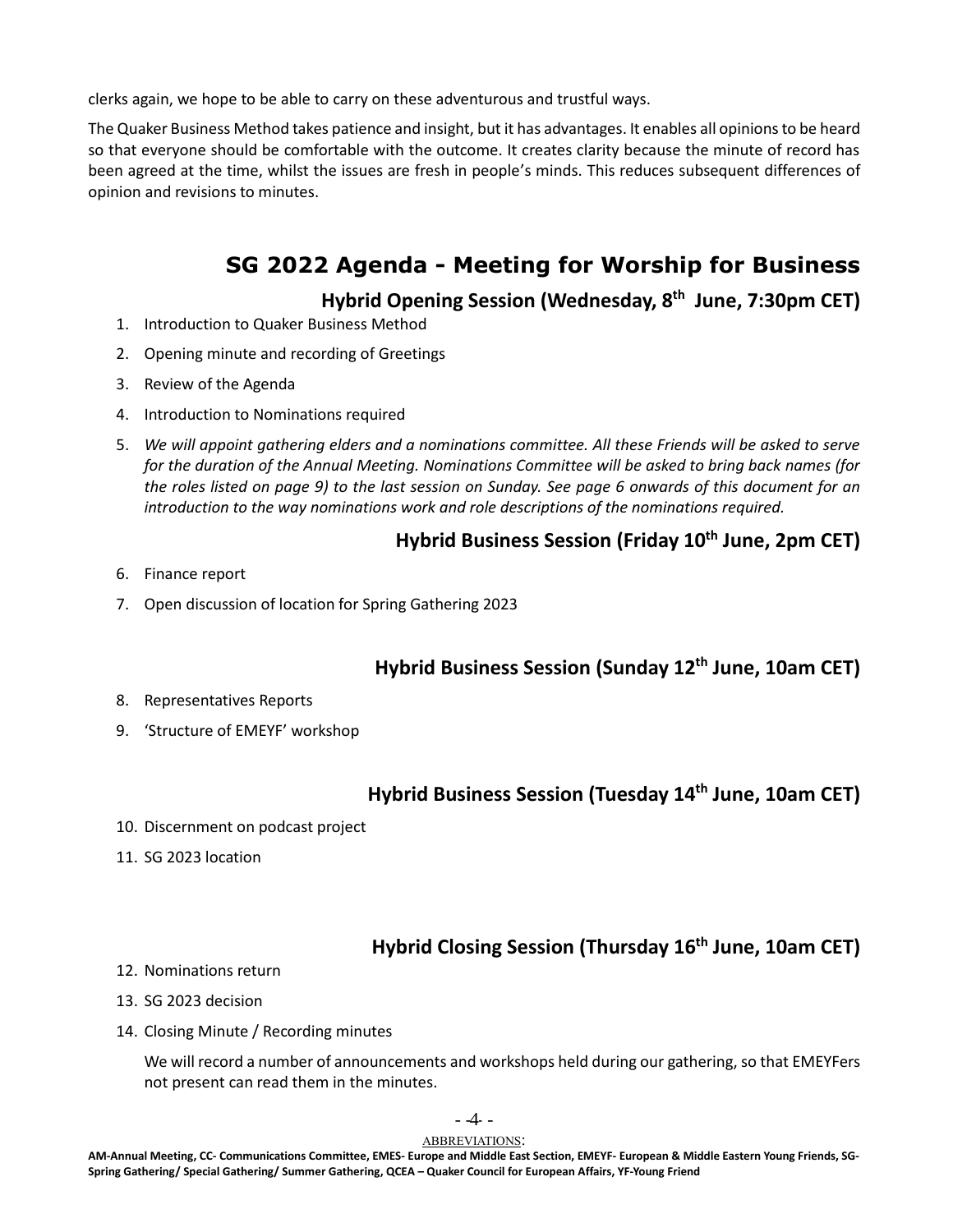clerks again, we hope to be able to carry on these adventurous and trustful ways.

The Quaker Business Method takes patience and insight, but it has advantages. It enables all opinions to be heard so that everyone should be comfortable with the outcome. It creates clarity because the minute of record has been agreed at the time, whilst the issues are fresh in people's minds. This reduces subsequent differences of opinion and revisions to minutes.

## **SG 2022 Agenda - Meeting for Worship for Business**

**Hybrid Opening Session (Wednesday, 8 th June, 7:30pm CET)**

- <span id="page-3-0"></span>1. Introduction to Quaker Business Method
- 2. Opening minute and recording of Greetings
- 3. Review of the Agenda
- 4. Introduction to Nominations required
- 5. *We will appoint gathering elders and a nominations committee. All these Friends will be asked to serve for the duration of the Annual Meeting. Nominations Committee will be asked to bring back names (for the roles listed on page 9) to the last session on Sunday. See page 6 onwards of this document for an introduction to the way nominations work and role descriptions of the nominations required.*

## **Hybrid Business Session (Friday 10th June, 2pm CET)**

- 6. Finance report
- 7. Open discussion of location for Spring Gathering 2023

## **Hybrid Business Session (Sunday 12th June, 10am CET)**

- 8. Representatives Reports
- 9. 'Structure of EMEYF' workshop

## **Hybrid Business Session (Tuesday 14th June, 10am CET)**

- 10. Discernment on podcast project
- 11. SG 2023 location

## **Hybrid Closing Session (Thursday 16th June, 10am CET)**

- 12. Nominations return
- 13. SG 2023 decision
- 14. Closing Minute / Recording minutes

We will record a number of announcements and workshops held during our gathering, so that EMEYFers not present can read them in the minutes.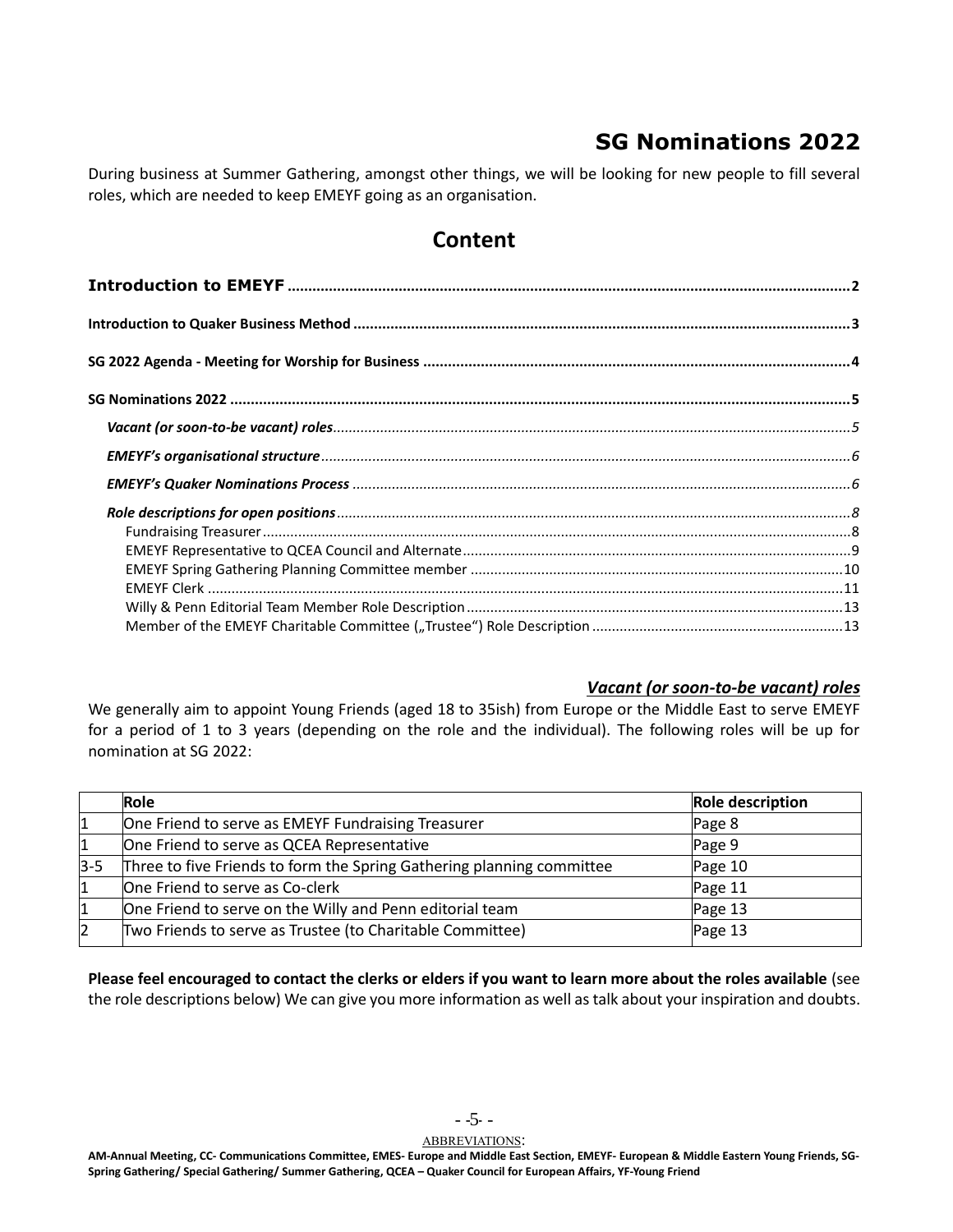## **SG Nominations 2022**

<span id="page-4-0"></span>During business at Summer Gathering, amongst other things, we will be looking for new people to fill several roles, which are needed to keep EMEYF going as an organisation.

## **Content**

## <span id="page-4-1"></span>*Vacant (or soon-to-be vacant) roles*

We generally aim to appoint Young Friends (aged 18 to 35ish) from Europe or the Middle East to serve EMEYF for a period of 1 to 3 years (depending on the role and the individual). The following roles will be up for nomination at SG 2022:

|         | Role                                                                  | <b>Role description</b> |
|---------|-----------------------------------------------------------------------|-------------------------|
|         | One Friend to serve as EMEYF Fundraising Treasurer                    | Page 8                  |
| 1       | One Friend to serve as QCEA Representative                            | Page 9                  |
| $3 - 5$ | Three to five Friends to form the Spring Gathering planning committee | Page 10                 |
| 1       | One Friend to serve as Co-clerk                                       | Page 11                 |
|         | One Friend to serve on the Willy and Penn editorial team              | Page 13                 |
| 12      | Two Friends to serve as Trustee (to Charitable Committee)             | Page 13                 |

**Please feel encouraged to contact the clerks or elders if you want to learn more about the roles available** (see the role descriptions below) We can give you more information as well as talk about your inspiration and doubts.

- -5- -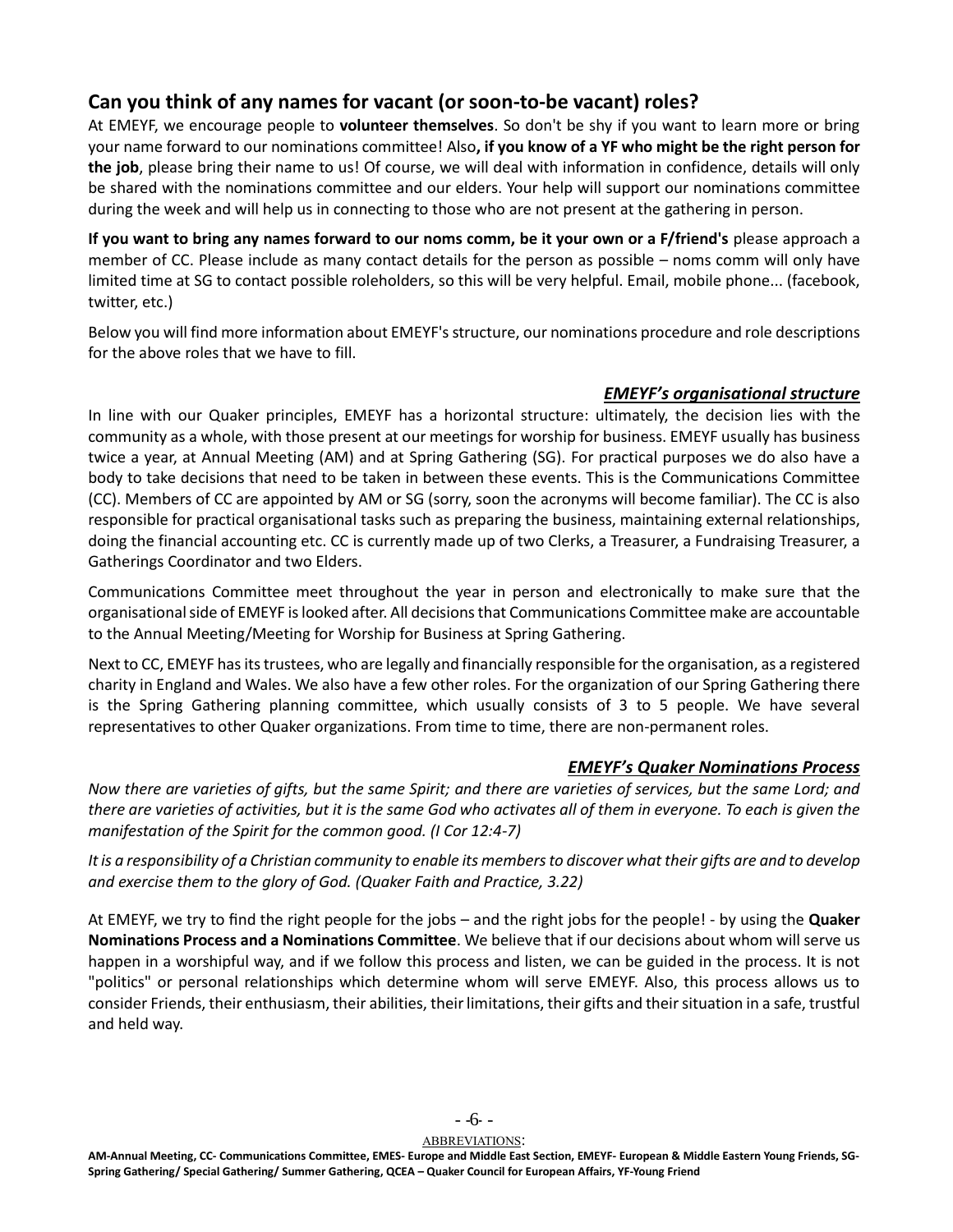## **Can you think of any names for vacant (or soon-to-be vacant) roles?**

At EMEYF, we encourage people to **volunteer themselves**. So don't be shy if you want to learn more or bring your name forward to our nominations committee! Also**, if you know of a YF who might be the right person for the job**, please bring their name to us! Of course, we will deal with information in confidence, details will only be shared with the nominations committee and our elders. Your help will support our nominations committee during the week and will help us in connecting to those who are not present at the gathering in person.

**If you want to bring any names forward to our noms comm, be it your own or a F/friend's** please approach a member of CC. Please include as many contact details for the person as possible – noms comm will only have limited time at SG to contact possible roleholders, so this will be very helpful. Email, mobile phone... (facebook, twitter, etc.)

Below you will find more information about EMEYF's structure, our nominations procedure and role descriptions for the above roles that we have to fill.

## *EMEYF's organisational structure*

<span id="page-5-0"></span>In line with our Quaker principles, EMEYF has a horizontal structure: ultimately, the decision lies with the community as a whole, with those present at our meetings for worship for business. EMEYF usually has business twice a year, at Annual Meeting (AM) and at Spring Gathering (SG). For practical purposes we do also have a body to take decisions that need to be taken in between these events. This is the Communications Committee (CC). Members of CC are appointed by AM or SG (sorry, soon the acronyms will become familiar). The CC is also responsible for practical organisational tasks such as preparing the business, maintaining external relationships, doing the financial accounting etc. CC is currently made up of two Clerks, a Treasurer, a Fundraising Treasurer, a Gatherings Coordinator and two Elders.

Communications Committee meet throughout the year in person and electronically to make sure that the organisational side of EMEYF is looked after. All decisions that Communications Committee make are accountable to the Annual Meeting/Meeting for Worship for Business at Spring Gathering.

Next to CC, EMEYF has its trustees, who are legally and financially responsible for the organisation, as a registered charity in England and Wales. We also have a few other roles. For the organization of our Spring Gathering there is the Spring Gathering planning committee, which usually consists of 3 to 5 people. We have several representatives to other Quaker organizations. From time to time, there are non-permanent roles.

## *EMEYF's Quaker Nominations Process*

<span id="page-5-1"></span>*Now there are varieties of gifts, but the same Spirit; and there are varieties of services, but the same Lord; and there are varieties of activities, but it is the same God who activates all of them in everyone. To each is given the manifestation of the Spirit for the common good. (I Cor 12:4-7)*

*It is a responsibility of a Christian community to enable its members to discover what their gifts are and to develop and exercise them to the glory of God. (Quaker Faith and Practice, 3.22)*

At EMEYF, we try to find the right people for the jobs – and the right jobs for the people! - by using the **Quaker Nominations Process and a Nominations Committee**. We believe that if our decisions about whom will serve us happen in a worshipful way, and if we follow this process and listen, we can be guided in the process. It is not "politics" or personal relationships which determine whom will serve EMEYF. Also, this process allows us to consider Friends, their enthusiasm, their abilities, their limitations, their gifts and their situation in a safe, trustful and held way.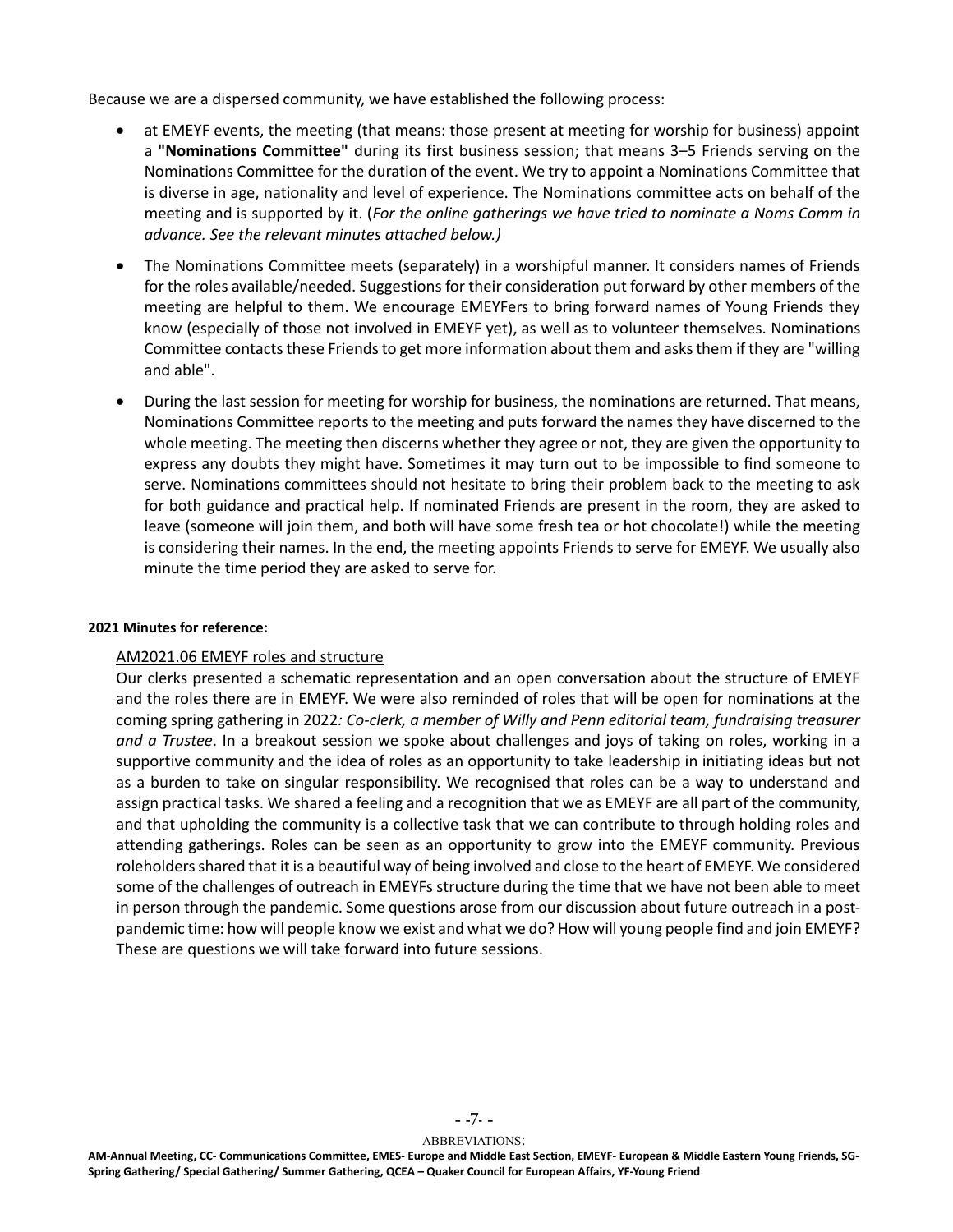Because we are a dispersed community, we have established the following process:

- at EMEYF events, the meeting (that means: those present at meeting for worship for business) appoint a **"Nominations Committee"** during its first business session; that means 3–5 Friends serving on the Nominations Committee for the duration of the event. We try to appoint a Nominations Committee that is diverse in age, nationality and level of experience. The Nominations committee acts on behalf of the meeting and is supported by it. (*For the online gatherings we have tried to nominate a Noms Comm in advance. See the relevant minutes attached below.)*
- The Nominations Committee meets (separately) in a worshipful manner. It considers names of Friends for the roles available/needed. Suggestions for their consideration put forward by other members of the meeting are helpful to them. We encourage EMEYFers to bring forward names of Young Friends they know (especially of those not involved in EMEYF yet), as well as to volunteer themselves. Nominations Committee contacts these Friends to get more information about them and asks them if they are "willing and able".
- During the last session for meeting for worship for business, the nominations are returned. That means, Nominations Committee reports to the meeting and puts forward the names they have discerned to the whole meeting. The meeting then discerns whether they agree or not, they are given the opportunity to express any doubts they might have. Sometimes it may turn out to be impossible to find someone to serve. Nominations committees should not hesitate to bring their problem back to the meeting to ask for both guidance and practical help. If nominated Friends are present in the room, they are asked to leave (someone will join them, and both will have some fresh tea or hot chocolate!) while the meeting is considering their names. In the end, the meeting appoints Friends to serve for EMEYF. We usually also minute the time period they are asked to serve for.

#### **2021 Minutes for reference:**

#### AM2021.06 EMEYF roles and structure

Our clerks presented a schematic representation and an open conversation about the structure of EMEYF and the roles there are in EMEYF. We were also reminded of roles that will be open for nominations at the coming spring gathering in 2022*: Co-clerk, a member of Willy and Penn editorial team, fundraising treasurer and a Trustee*. In a breakout session we spoke about challenges and joys of taking on roles, working in a supportive community and the idea of roles as an opportunity to take leadership in initiating ideas but not as a burden to take on singular responsibility. We recognised that roles can be a way to understand and assign practical tasks. We shared a feeling and a recognition that we as EMEYF are all part of the community, and that upholding the community is a collective task that we can contribute to through holding roles and attending gatherings. Roles can be seen as an opportunity to grow into the EMEYF community. Previous roleholders shared that it is a beautiful way of being involved and close to the heart of EMEYF. We considered some of the challenges of outreach in EMEYFs structure during the time that we have not been able to meet in person through the pandemic. Some questions arose from our discussion about future outreach in a postpandemic time: how will people know we exist and what we do? How will young people find and join EMEYF? These are questions we will take forward into future sessions.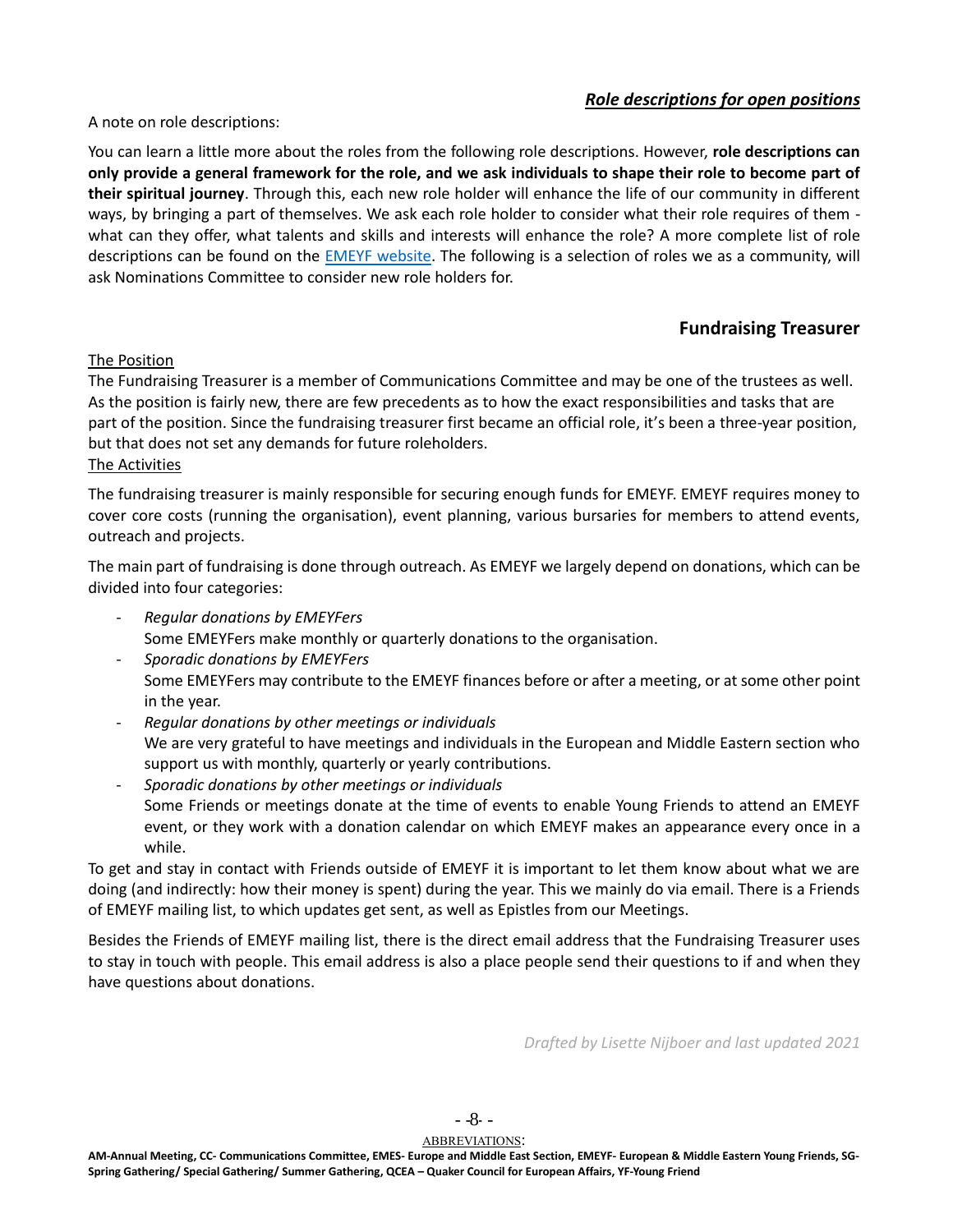## *Role descriptions for open positions*

<span id="page-7-0"></span>A note on role descriptions:

You can learn a little more about the roles from the following role descriptions. However, **role descriptions can only provide a general framework for the role, and we ask individuals to shape their role to become part of their spiritual journey**. Through this, each new role holder will enhance the life of our community in different ways, by bringing a part of themselves. We ask each role holder to consider what their role requires of them what can they offer, what talents and skills and interests will enhance the role? A more complete list of role descriptions can be found on the **EMEYF website**. The following is a selection of roles we as a community, will ask Nominations Committee to consider new role holders for.

## **Fundraising Treasurer**

## <span id="page-7-1"></span>The Position

The Fundraising Treasurer is a member of Communications Committee and may be one of the trustees as well. As the position is fairly new, there are few precedents as to how the exact responsibilities and tasks that are part of the position. Since the fundraising treasurer first became an official role, it's been a three-year position, but that does not set any demands for future roleholders.

#### The Activities

The fundraising treasurer is mainly responsible for securing enough funds for EMEYF. EMEYF requires money to cover core costs (running the organisation), event planning, various bursaries for members to attend events, outreach and projects.

The main part of fundraising is done through outreach. As EMEYF we largely depend on donations, which can be divided into four categories:

- *Regular donations by EMEYFers*  Some EMEYFers make monthly or quarterly donations to the organisation.
- *Sporadic donations by EMEYFers*  Some EMEYFers may contribute to the EMEYF finances before or after a meeting, or at some other point in the year.
- *Regular donations by other meetings or individuals* We are very grateful to have meetings and individuals in the European and Middle Eastern section who support us with monthly, quarterly or yearly contributions.
- *Sporadic donations by other meetings or individuals* Some Friends or meetings donate at the time of events to enable Young Friends to attend an EMEYF event, or they work with a donation calendar on which EMEYF makes an appearance every once in a while.

To get and stay in contact with Friends outside of EMEYF it is important to let them know about what we are doing (and indirectly: how their money is spent) during the year. This we mainly do via email. There is a Friends of EMEYF mailing list, to which updates get sent, as well as Epistles from our Meetings.

Besides the Friends of EMEYF mailing list, there is the direct email address that the Fundraising Treasurer uses to stay in touch with people. This email address is also a place people send their questions to if and when they have questions about donations.

*Drafted by Lisette Nijboer and last updated 2021* 

- -8- -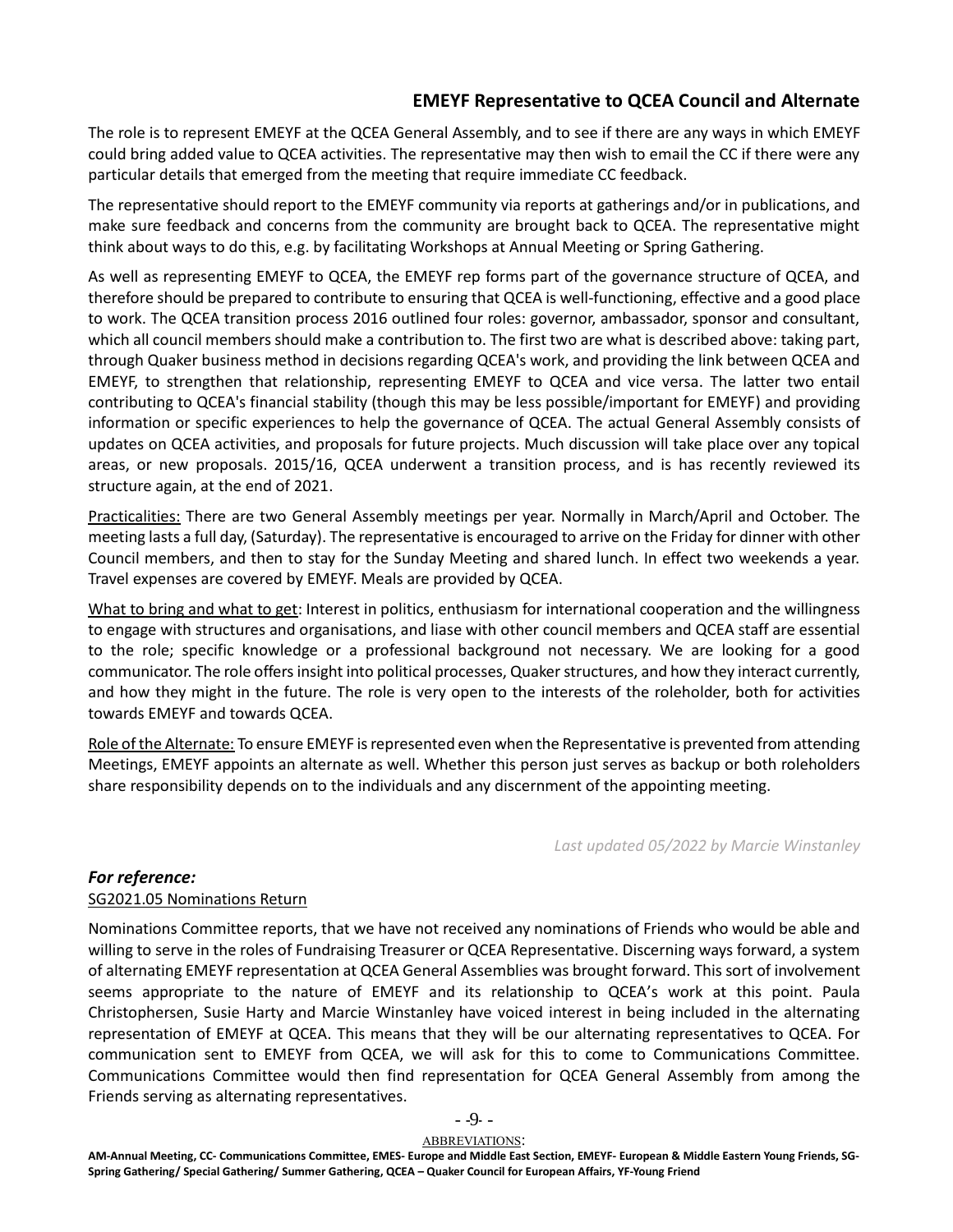## **EMEYF Representative to QCEA Council and Alternate**

<span id="page-8-0"></span>The role is to represent EMEYF at the QCEA General Assembly, and to see if there are any ways in which EMEYF could bring added value to QCEA activities. The representative may then wish to email the CC if there were any particular details that emerged from the meeting that require immediate CC feedback.

The representative should report to the EMEYF community via reports at gatherings and/or in publications, and make sure feedback and concerns from the community are brought back to QCEA. The representative might think about ways to do this, e.g. by facilitating Workshops at Annual Meeting or Spring Gathering.

As well as representing EMEYF to QCEA, the EMEYF rep forms part of the governance structure of QCEA, and therefore should be prepared to contribute to ensuring that QCEA is well-functioning, effective and a good place to work. The QCEA transition process 2016 outlined four roles: governor, ambassador, sponsor and consultant, which all council members should make a contribution to. The first two are what is described above: taking part, through Quaker business method in decisions regarding QCEA's work, and providing the link between QCEA and EMEYF, to strengthen that relationship, representing EMEYF to QCEA and vice versa. The latter two entail contributing to QCEA's financial stability (though this may be less possible/important for EMEYF) and providing information or specific experiences to help the governance of QCEA. The actual General Assembly consists of updates on QCEA activities, and proposals for future projects. Much discussion will take place over any topical areas, or new proposals. 2015/16, QCEA underwent a transition process, and is has recently reviewed its structure again, at the end of 2021.

Practicalities: There are two General Assembly meetings per year. Normally in March/April and October. The meeting lasts a full day, (Saturday). The representative is encouraged to arrive on the Friday for dinner with other Council members, and then to stay for the Sunday Meeting and shared lunch. In effect two weekends a year. Travel expenses are covered by EMEYF. Meals are provided by QCEA.

What to bring and what to get: Interest in politics, enthusiasm for international cooperation and the willingness to engage with structures and organisations, and liase with other council members and QCEA staff are essential to the role; specific knowledge or a professional background not necessary. We are looking for a good communicator. The role offers insight into political processes, Quaker structures, and how they interact currently, and how they might in the future. The role is very open to the interests of the roleholder, both for activities towards EMEYF and towards QCEA.

Role of the Alternate: To ensure EMEYF is represented even when the Representative is prevented from attending Meetings, EMEYF appoints an alternate as well. Whether this person just serves as backup or both roleholders share responsibility depends on to the individuals and any discernment of the appointing meeting.

*Last updated 05/2022 by Marcie Winstanley*

### *For reference:*

### SG2021.05 Nominations Return

Nominations Committee reports, that we have not received any nominations of Friends who would be able and willing to serve in the roles of Fundraising Treasurer or QCEA Representative. Discerning ways forward, a system of alternating EMEYF representation at QCEA General Assemblies was brought forward. This sort of involvement seems appropriate to the nature of EMEYF and its relationship to QCEA's work at this point. Paula Christophersen, Susie Harty and Marcie Winstanley have voiced interest in being included in the alternating representation of EMEYF at QCEA. This means that they will be our alternating representatives to QCEA. For communication sent to EMEYF from QCEA, we will ask for this to come to Communications Committee. Communications Committee would then find representation for QCEA General Assembly from among the Friends serving as alternating representatives.

- -9- -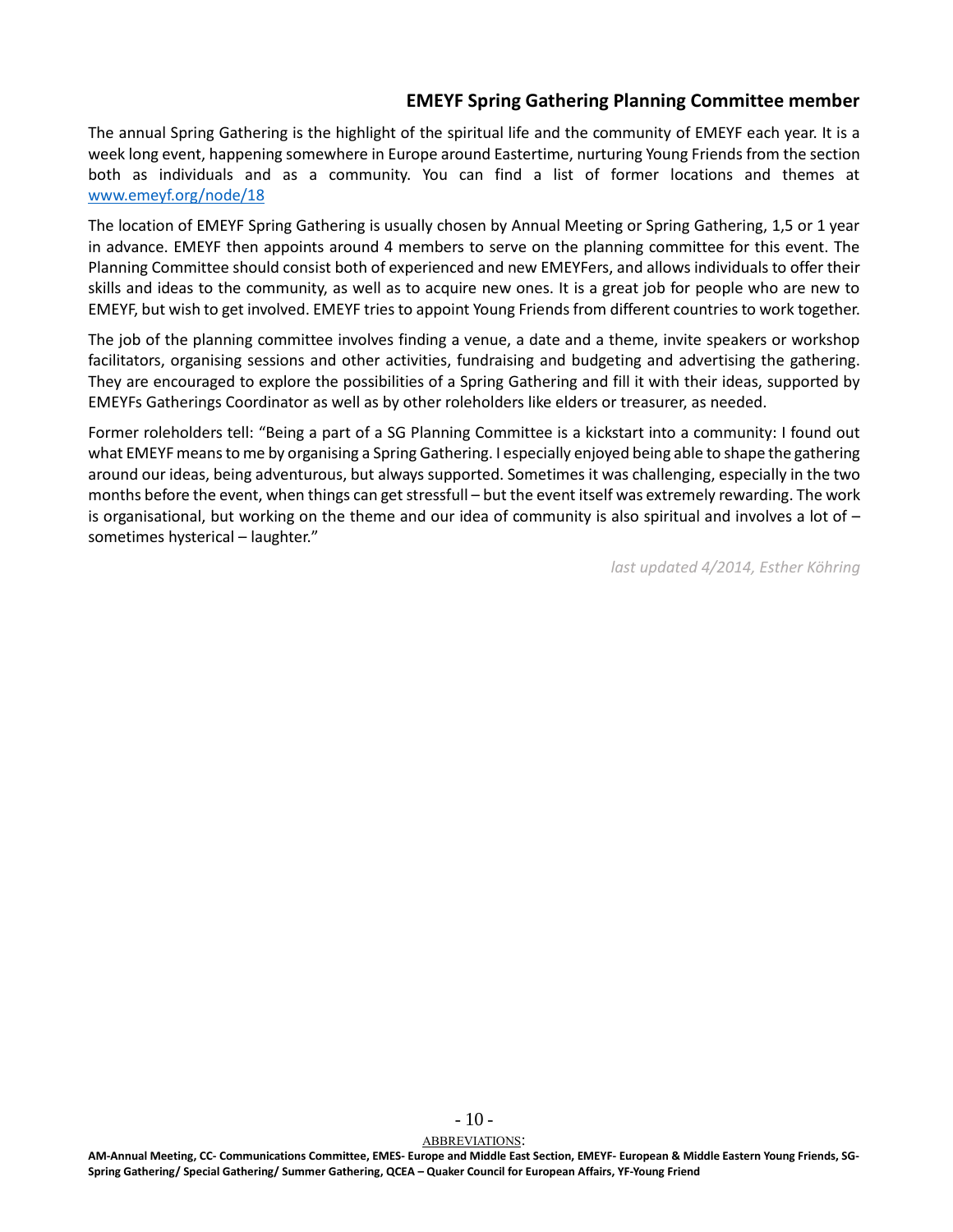## **EMEYF Spring Gathering Planning Committee member**

<span id="page-9-0"></span>The annual Spring Gathering is the highlight of the spiritual life and the community of EMEYF each year. It is a week long event, happening somewhere in Europe around Eastertime, nurturing Young Friends from the section both as individuals and as a community. You can find a list of former locations and themes at [www.emeyf.org/node/18](http://www.emeyf.org/node/18)

The location of EMEYF Spring Gathering is usually chosen by Annual Meeting or Spring Gathering, 1,5 or 1 year in advance. EMEYF then appoints around 4 members to serve on the planning committee for this event. The Planning Committee should consist both of experienced and new EMEYFers, and allows individuals to offer their skills and ideas to the community, as well as to acquire new ones. It is a great job for people who are new to EMEYF, but wish to get involved. EMEYF tries to appoint Young Friends from different countries to work together.

The job of the planning committee involves finding a venue, a date and a theme, invite speakers or workshop facilitators, organising sessions and other activities, fundraising and budgeting and advertising the gathering. They are encouraged to explore the possibilities of a Spring Gathering and fill it with their ideas, supported by EMEYFs Gatherings Coordinator as well as by other roleholders like elders or treasurer, as needed.

Former roleholders tell: "Being a part of a SG Planning Committee is a kickstart into a community: I found out what EMEYF means to me by organising a Spring Gathering. I especially enjoyed being able to shape the gathering around our ideas, being adventurous, but always supported. Sometimes it was challenging, especially in the two months before the event, when things can get stressfull – but the event itself was extremely rewarding. The work is organisational, but working on the theme and our idea of community is also spiritual and involves a lot of  $$ sometimes hysterical – laughter."

*last updated 4/2014, Esther Köhring*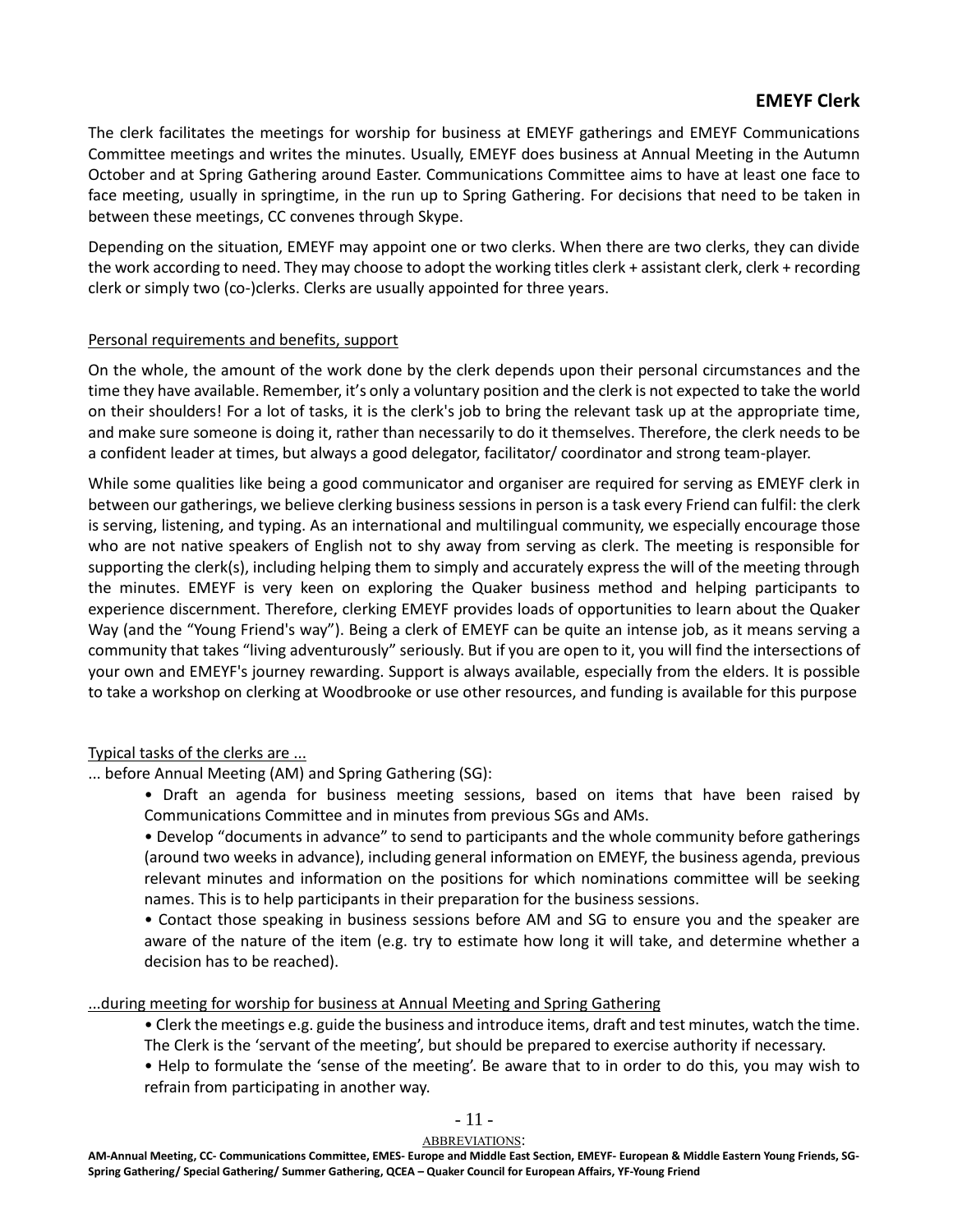## **EMEYF Clerk**

<span id="page-10-0"></span>The clerk facilitates the meetings for worship for business at EMEYF gatherings and EMEYF Communications Committee meetings and writes the minutes. Usually, EMEYF does business at Annual Meeting in the Autumn October and at Spring Gathering around Easter. Communications Committee aims to have at least one face to face meeting, usually in springtime, in the run up to Spring Gathering. For decisions that need to be taken in between these meetings, CC convenes through Skype.

Depending on the situation, EMEYF may appoint one or two clerks. When there are two clerks, they can divide the work according to need. They may choose to adopt the working titles clerk + assistant clerk, clerk + recording clerk or simply two (co-)clerks. Clerks are usually appointed for three years.

### Personal requirements and benefits, support

On the whole, the amount of the work done by the clerk depends upon their personal circumstances and the time they have available. Remember, it's only a voluntary position and the clerk is not expected to take the world on their shoulders! For a lot of tasks, it is the clerk's job to bring the relevant task up at the appropriate time, and make sure someone is doing it, rather than necessarily to do it themselves. Therefore, the clerk needs to be a confident leader at times, but always a good delegator, facilitator/ coordinator and strong team-player.

While some qualities like being a good communicator and organiser are required for serving as EMEYF clerk in between our gatherings, we believe clerking business sessions in person is a task every Friend can fulfil: the clerk is serving, listening, and typing. As an international and multilingual community, we especially encourage those who are not native speakers of English not to shy away from serving as clerk. The meeting is responsible for supporting the clerk(s), including helping them to simply and accurately express the will of the meeting through the minutes. EMEYF is very keen on exploring the Quaker business method and helping participants to experience discernment. Therefore, clerking EMEYF provides loads of opportunities to learn about the Quaker Way (and the "Young Friend's way"). Being a clerk of EMEYF can be quite an intense job, as it means serving a community that takes "living adventurously" seriously. But if you are open to it, you will find the intersections of your own and EMEYF's journey rewarding. Support is always available, especially from the elders. It is possible to take a workshop on clerking at Woodbrooke or use other resources, and funding is available for this purpose

## Typical tasks of the clerks are ...

... before Annual Meeting (AM) and Spring Gathering (SG):

• Draft an agenda for business meeting sessions, based on items that have been raised by Communications Committee and in minutes from previous SGs and AMs.

• Develop "documents in advance" to send to participants and the whole community before gatherings (around two weeks in advance), including general information on EMEYF, the business agenda, previous relevant minutes and information on the positions for which nominations committee will be seeking names. This is to help participants in their preparation for the business sessions.

• Contact those speaking in business sessions before AM and SG to ensure you and the speaker are aware of the nature of the item (e.g. try to estimate how long it will take, and determine whether a decision has to be reached).

...during meeting for worship for business at Annual Meeting and Spring Gathering

- Clerk the meetings e.g. guide the business and introduce items, draft and test minutes, watch the time. The Clerk is the 'servant of the meeting', but should be prepared to exercise authority if necessary.
- Help to formulate the 'sense of the meeting'. Be aware that to in order to do this, you may wish to refrain from participating in another way.

### $-11-$

#### ABBREVIATIONS: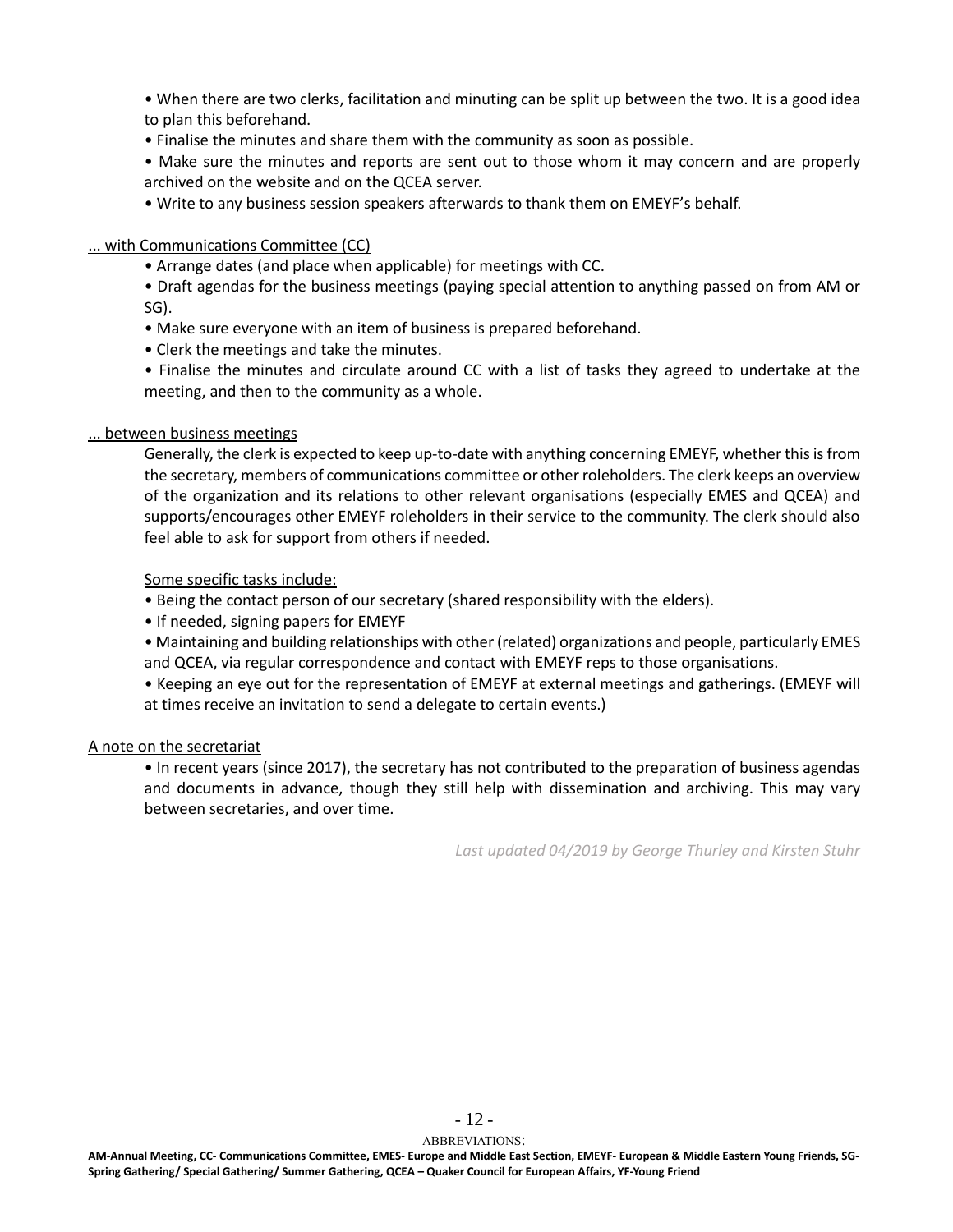• When there are two clerks, facilitation and minuting can be split up between the two. It is a good idea to plan this beforehand.

• Finalise the minutes and share them with the community as soon as possible.

• Make sure the minutes and reports are sent out to those whom it may concern and are properly archived on the website and on the QCEA server.

• Write to any business session speakers afterwards to thank them on EMEYF's behalf.

## ... with Communications Committee (CC)

• Arrange dates (and place when applicable) for meetings with CC.

• Draft agendas for the business meetings (paying special attention to anything passed on from AM or SG).

- Make sure everyone with an item of business is prepared beforehand.
- Clerk the meetings and take the minutes.

• Finalise the minutes and circulate around CC with a list of tasks they agreed to undertake at the meeting, and then to the community as a whole.

### ... between business meetings

Generally, the clerk is expected to keep up-to-date with anything concerning EMEYF, whether this is from the secretary, members of communications committee or other roleholders. The clerk keeps an overview of the organization and its relations to other relevant organisations (especially EMES and QCEA) and supports/encourages other EMEYF roleholders in their service to the community. The clerk should also feel able to ask for support from others if needed.

### Some specific tasks include:

- Being the contact person of our secretary (shared responsibility with the elders).
- If needed, signing papers for EMEYF
- Maintaining and building relationships with other (related) organizations and people, particularly EMES and QCEA, via regular correspondence and contact with EMEYF reps to those organisations.

• Keeping an eye out for the representation of EMEYF at external meetings and gatherings. (EMEYF will at times receive an invitation to send a delegate to certain events.)

### A note on the secretariat

• In recent years (since 2017), the secretary has not contributed to the preparation of business agendas and documents in advance, though they still help with dissemination and archiving. This may vary between secretaries, and over time.

*Last updated 04/2019 by George Thurley and Kirsten Stuhr*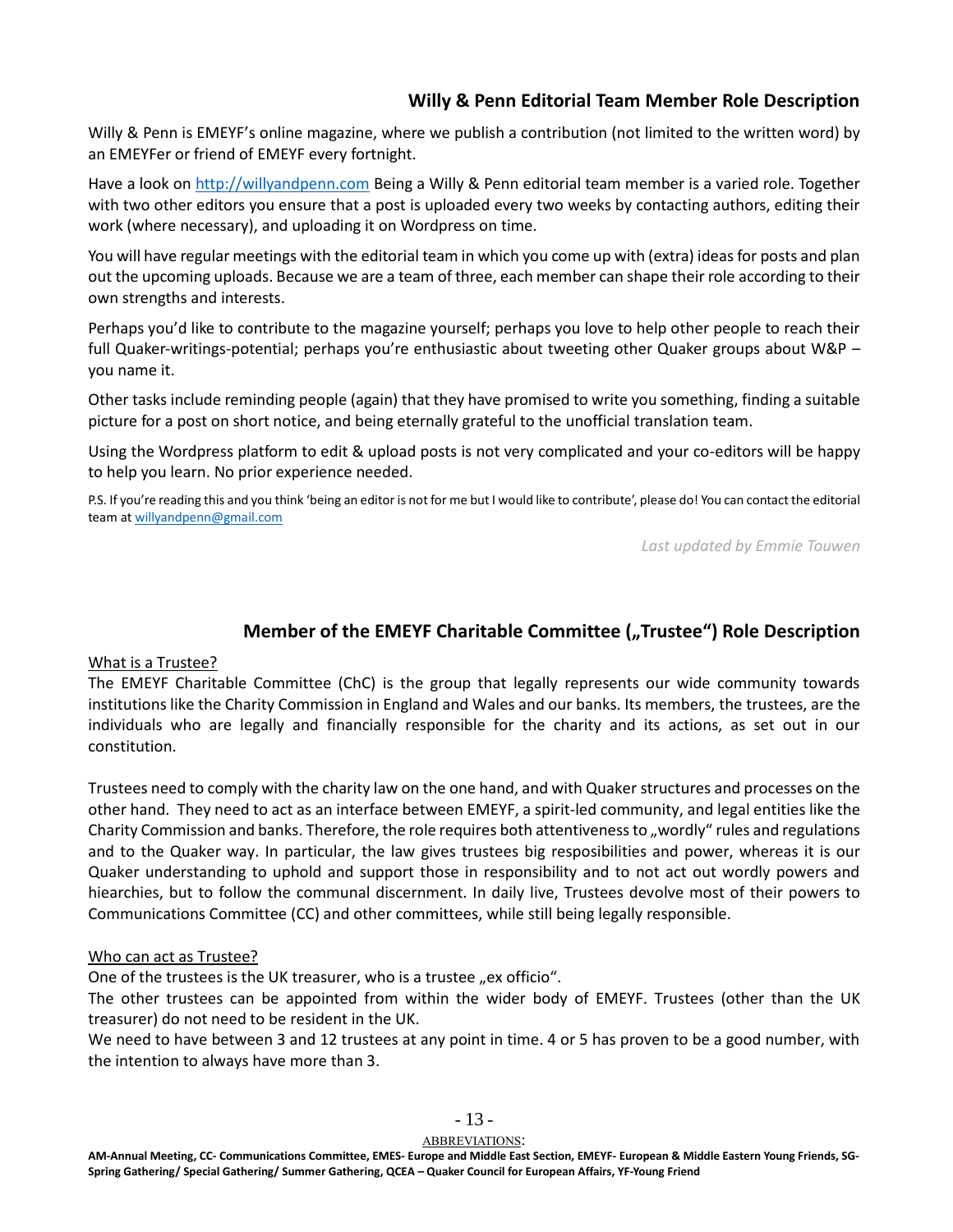## **Willy & Penn Editorial Team Member Role Description**

<span id="page-12-0"></span>Willy & Penn is EMEYF's online magazine, where we publish a contribution (not limited to the written word) by an EMEYFer or friend of EMEYF every fortnight.

Have a look o[n http://willyandpenn.com](http://willyandpenn.com/) Being a Willy & Penn editorial team member is a varied role. Together with two other editors you ensure that a post is uploaded every two weeks by contacting authors, editing their work (where necessary), and uploading it on Wordpress on time.

You will have regular meetings with the editorial team in which you come up with (extra) ideas for posts and plan out the upcoming uploads. Because we are a team of three, each member can shape their role according to their own strengths and interests.

Perhaps you'd like to contribute to the magazine yourself; perhaps you love to help other people to reach their full Quaker-writings-potential; perhaps you're enthusiastic about tweeting other Quaker groups about W&P – you name it.

Other tasks include reminding people (again) that they have promised to write you something, finding a suitable picture for a post on short notice, and being eternally grateful to the unofficial translation team.

Using the Wordpress platform to edit & upload posts is not very complicated and your co-editors will be happy to help you learn. No prior experience needed.

P.S. If you're reading this and you think 'being an editor is not for me but I would like to contribute', please do! You can contact the editorial team at [willyandpenn@gmail.com](mailto:willyandpenn@gmail.com)

*Last updated by Emmie Touwen*

## **Member of the EMEYF Charitable Committee ("Trustee") Role Description**

### <span id="page-12-1"></span>What is a Trustee?

The EMEYF Charitable Committee (ChC) is the group that legally represents our wide community towards institutions like the Charity Commission in England and Wales and our banks. Its members, the trustees, are the individuals who are legally and financially responsible for the charity and its actions, as set out in our constitution.

Trustees need to comply with the charity law on the one hand, and with Quaker structures and processes on the other hand. They need to act as an interface between EMEYF, a spirit-led community, and legal entities like the Charity Commission and banks. Therefore, the role requires both attentiveness to "wordly" rules and regulations and to the Quaker way. In particular, the law gives trustees big resposibilities and power, whereas it is our Quaker understanding to uphold and support those in responsibility and to not act out wordly powers and hiearchies, but to follow the communal discernment. In daily live, Trustees devolve most of their powers to Communications Committee (CC) and other committees, while still being legally responsible.

#### Who can act as Trustee?

One of the trustees is the UK treasurer, who is a trustee "ex officio".

The other trustees can be appointed from within the wider body of EMEYF. Trustees (other than the UK treasurer) do not need to be resident in the UK.

We need to have between 3 and 12 trustees at any point in time. 4 or 5 has proven to be a good number, with the intention to always have more than 3.

 $-13-$